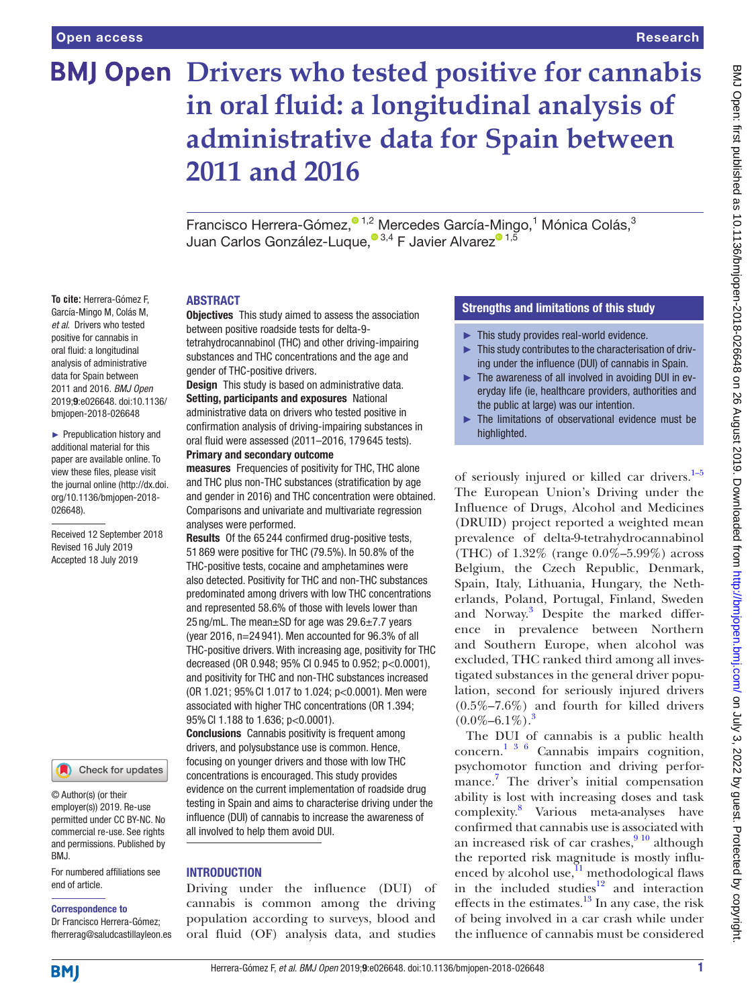**To cite:** Herrera-Gómez F, García-Mingo M, Colás M, *et al*. Drivers who tested positive for cannabis in oral fluid: a longitudinal analysis of administrative data for Spain between 2011 and 2016. *BMJ Open* 2019;9:e026648. doi:10.1136/ bmjopen-2018-026648 ► Prepublication history and additional material for this paper are available online. To view these files, please visit the journal online (http://dx.doi. org/10.1136/bmjopen-2018-

026648).

Received 12 September 2018 Revised 16 July 2019 Accepted 18 July 2019

# **BMJ Open Drivers who tested positive for cannabis in oral fluid: a longitudinal analysis of administrative data for Spain between 2011 and 2016**

Francisco Herrera-Gómez[,](http://orcid.org/0000-0002-3110-692X)<sup>o 1,2</sup> Mercedes García-Mingo,<sup>1</sup> Mónica Colás,<sup>3</sup> Juan Carlos González-Luque[,](http://orcid.org/0000-0001-8081-0377)<sup>® 3,4</sup> F Javier Alvare[z](http://orcid.org/0000-0002-7566-5678)® <sup>1,5</sup>

#### **ABSTRACT**

**Objectives** This study aimed to assess the association between positive roadside tests for delta-9 tetrahydrocannabinol (THC) and other driving-impairing substances and THC concentrations and the age and gender of THC-positive drivers.

**Design** This study is based on administrative data. Setting, participants and exposures National administrative data on drivers who tested positive in confirmation analysis of driving-impairing substances in oral fluid were assessed (2011–2016, 179 645 tests). Primary and secondary outcome

measures Frequencies of positivity for THC, THC alone and THC plus non-THC substances (stratification by age and gender in 2016) and THC concentration were obtained. Comparisons and univariate and multivariate regression

analyses were performed. Results Of the 65 244 confirmed drug-positive tests, 51 869 were positive for THC (79.5%). In 50.8% of the THC-positive tests, cocaine and amphetamines were also detected. Positivity for THC and non-THC substances predominated among drivers with low THC concentrations and represented 58.6% of those with levels lower than 25 ng/mL. The mean±SD for age was 29.6±7.7 years (year 2016, n=24 941). Men accounted for 96.3% of all THC-positive drivers. With increasing age, positivity for THC decreased (OR 0.948; 95% CI 0.945 to 0.952; p<0.0001), and positivity for THC and non-THC substances increased (OR 1.021; 95%CI 1.017 to 1.024; p<0.0001). Men were associated with higher THC concentrations (OR 1.394; 95%CI 1.188 to 1.636; p<0.0001).

Conclusions Cannabis positivity is frequent among drivers, and polysubstance use is common. Hence, focusing on younger drivers and those with low THC concentrations is encouraged. This study provides evidence on the current implementation of roadside drug testing in Spain and aims to characterise driving under the influence (DUI) of cannabis to increase the awareness of all involved to help them avoid DUI.

#### **INTRODUCTION**

Driving under the influence (DUI) of cannabis is common among the driving population according to surveys, blood and oral fluid (OF) analysis data, and studies

#### Strengths and limitations of this study

- ► This study provides real-world evidence.
- ► This study contributes to the characterisation of driving under the influence (DUI) of cannabis in Spain.
- ► The awareness of all involved in avoiding DUI in everyday life (ie, healthcare providers, authorities and the public at large) was our intention.
- The limitations of observational evidence must be highlighted.

of seriously injured or killed car drivers. $1-5$ The European Union's Driving under the Influence of Drugs, Alcohol and Medicines (DRUID) project reported a weighted mean prevalence of delta-9-tetrahydrocannabinol (THC) of 1.32% (range 0.0%–5.99%) across Belgium, the Czech Republic, Denmark, Spain, Italy, Lithuania, Hungary, the Netherlands, Poland, Portugal, Finland, Sweden and Norway.<sup>[3](#page-6-1)</sup> Despite the marked difference in prevalence between Northern and Southern Europe, when alcohol was excluded, THC ranked third among all investigated substances in the general driver population, second for seriously injured drivers (0.5%–7.6%) and fourth for killed drivers  $(0.0\% - 6.1\%)$ .<sup>[3](#page-6-1)</sup>

The DUI of cannabis is a public health concern. [1 3 6](#page-6-0) Cannabis impairs cognition, psychomotor function and driving performance. [7](#page-6-2) The driver's initial compensation ability is lost with increasing doses and task complexity.[8](#page-6-3) Various meta-analyses have confirmed that cannabis use is associated with an increased risk of car crashes, $910$  although the reported risk magnitude is mostly influenced by alcohol use, $11$  methodological flaws in the included studies<sup>12</sup> and interaction effects in the estimates. $13$  In any case, the risk of being involved in a car crash while under the influence of cannabis must be considered

employer(s)) 2019. Re-use permitted under CC BY-NC. No

© Author(s) (or their

commercial re-use. See rights and permissions. Published by BMJ.

Check for updates

For numbered affiliations see end of article.

#### Correspondence to

Dr Francisco Herrera-Gómez; fherrerag@saludcastillayleon.es

**BMI**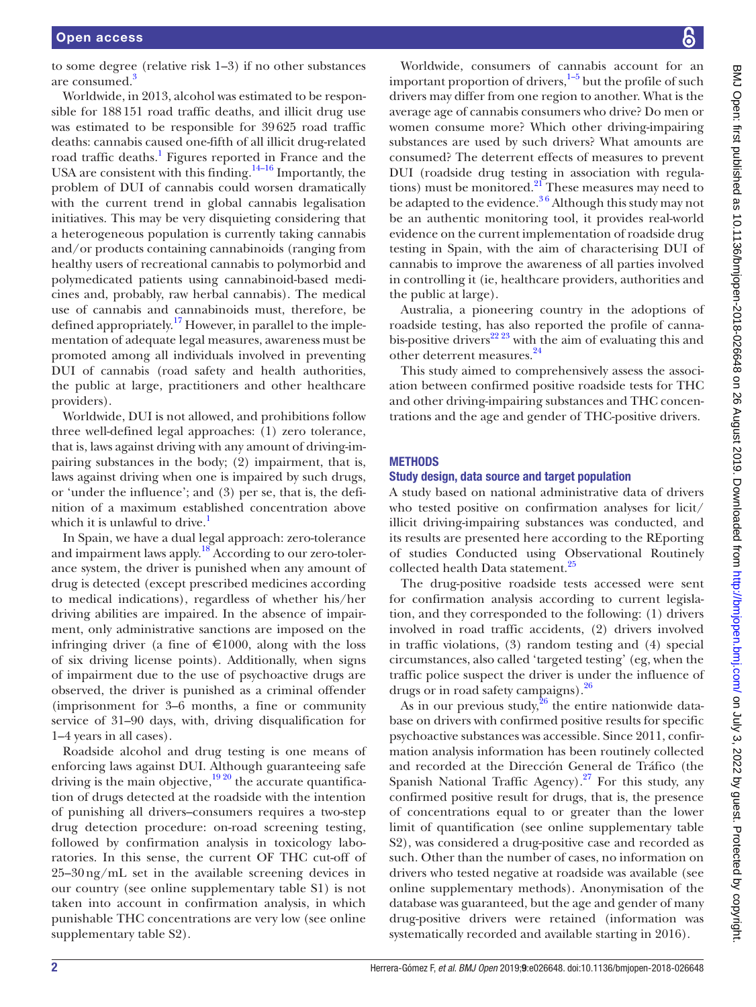to some degree (relative risk 1–3) if no other substances are consumed.<sup>3</sup>

Worldwide, in 2013, alcohol was estimated to be responsible for 188151 road traffic deaths, and illicit drug use was estimated to be responsible for 39625 road traffic deaths: cannabis caused one-fifth of all illicit drug-related road traffic deaths.<sup>1</sup> Figures reported in France and the USA are consistent with this finding. $14-16$  Importantly, the problem of DUI of cannabis could worsen dramatically with the current trend in global cannabis legalisation initiatives. This may be very disquieting considering that a heterogeneous population is currently taking cannabis and/or products containing cannabinoids (ranging from healthy users of recreational cannabis to polymorbid and polymedicated patients using cannabinoid-based medicines and, probably, raw herbal cannabis). The medical use of cannabis and cannabinoids must, therefore, be defined appropriately.<sup>17</sup> However, in parallel to the implementation of adequate legal measures, awareness must be promoted among all individuals involved in preventing DUI of cannabis (road safety and health authorities, the public at large, practitioners and other healthcare providers).

Worldwide, DUI is not allowed, and prohibitions follow three well-defined legal approaches: (1) zero tolerance, that is, laws against driving with any amount of driving-impairing substances in the body; (2) impairment, that is, laws against driving when one is impaired by such drugs, or 'under the influence'; and (3) per se, that is, the definition of a maximum established concentration above which it is unlawful to drive.<sup>[1](#page-6-0)</sup>

In Spain, we have a dual legal approach: zero-tolerance and impairment laws apply.<sup>18</sup> According to our zero-tolerance system, the driver is punished when any amount of drug is detected (except prescribed medicines according to medical indications), regardless of whether his/her driving abilities are impaired. In the absence of impairment, only administrative sanctions are imposed on the infringing driver (a fine of  $\epsilon$ 1000, along with the loss of six driving license points). Additionally, when signs of impairment due to the use of psychoactive drugs are observed, the driver is punished as a criminal offender (imprisonment for 3–6 months, a fine or community service of 31–90 days, with, driving disqualification for 1–4 years in all cases).

Roadside alcohol and drug testing is one means of enforcing laws against DUI. Although guaranteeing safe driving is the main objective,  $\frac{19\,20}{2}$  the accurate quantification of drugs detected at the roadside with the intention of punishing all drivers–consumers requires a two-step drug detection procedure: on-road screening testing, followed by confirmation analysis in toxicology laboratories. In this sense, the current OF THC cut-off of 25–30ng/mL set in the available screening devices in our country (see [online supplementary table S1](https://dx.doi.org/10.1136/bmjopen-2018-026648)) is not taken into account in confirmation analysis, in which punishable THC concentrations are very low (see [online](https://dx.doi.org/10.1136/bmjopen-2018-026648) [supplementary table S2](https://dx.doi.org/10.1136/bmjopen-2018-026648)).

Worldwide, consumers of cannabis account for an important proportion of drivers,  $1-5$  but the profile of such drivers may differ from one region to another. What is the average age of cannabis consumers who drive? Do men or women consume more? Which other driving-impairing substances are used by such drivers? What amounts are consumed? The deterrent effects of measures to prevent DUI (roadside drug testing in association with regulations) must be monitored.[21](#page-6-12) These measures may need to be adapted to the evidence.<sup>36</sup> Although this study may not be an authentic monitoring tool, it provides real-world evidence on the current implementation of roadside drug testing in Spain, with the aim of characterising DUI of cannabis to improve the awareness of all parties involved in controlling it (ie, healthcare providers, authorities and the public at large).

Australia, a pioneering country in the adoptions of roadside testing, has also reported the profile of cannabis-positive drivers<sup>22 23</sup> with the aim of evaluating this and other deterrent measures.<sup>[24](#page-6-14)</sup>

This study aimed to comprehensively assess the association between confirmed positive roadside tests for THC and other driving-impairing substances and THC concentrations and the age and gender of THC-positive drivers.

## **METHODS**

#### Study design, data source and target population

A study based on national administrative data of drivers who tested positive on confirmation analyses for licit/ illicit driving-impairing substances was conducted, and its results are presented here according to the REporting of studies Conducted using Observational Routinely collected health Data statement.<sup>25</sup>

The drug-positive roadside tests accessed were sent for confirmation analysis according to current legislation, and they corresponded to the following: (1) drivers involved in road traffic accidents, (2) drivers involved in traffic violations, (3) random testing and (4) special circumstances, also called 'targeted testing' (eg, when the traffic police suspect the driver is under the influence of drugs or in road safety campaigns).<sup>26</sup>

As in our previous study,  $2^6$  the entire nationwide database on drivers with confirmed positive results for specific psychoactive substances was accessible. Since 2011, confirmation analysis information has been routinely collected and recorded at the Dirección General de Tráfico (the Spanish National Traffic Agency). $27$  For this study, any confirmed positive result for drugs, that is, the presence of concentrations equal to or greater than the lower limit of quantification (see [online supplementary table](https://dx.doi.org/10.1136/bmjopen-2018-026648)  [S2](https://dx.doi.org/10.1136/bmjopen-2018-026648)), was considered a drug-positive case and recorded as such. Other than the number of cases, no information on drivers who tested negative at roadside was available (see [online supplementary methods](https://dx.doi.org/10.1136/bmjopen-2018-026648)). Anonymisation of the database was guaranteed, but the age and gender of many drug-positive drivers were retained (information was systematically recorded and available starting in 2016).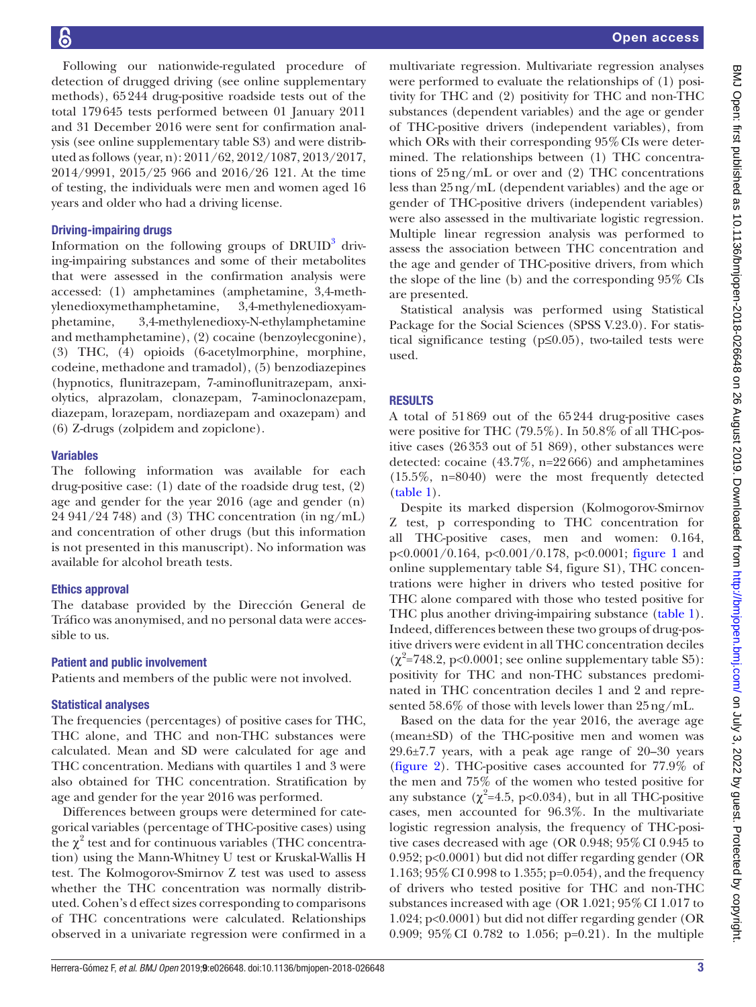Following our nationwide-regulated procedure of detection of drugged driving (see [online supplementary](https://dx.doi.org/10.1136/bmjopen-2018-026648) [methods](https://dx.doi.org/10.1136/bmjopen-2018-026648)), 65244 drug-positive roadside tests out of the total 179645 tests performed between 01 January 2011 and 31 December 2016 were sent for confirmation analysis (see [online supplementary table S3\)](https://dx.doi.org/10.1136/bmjopen-2018-026648) and were distributed as follows (year, n): 2011/62, 2012/1087, 2013/2017, 2014/9991, 2015/25 966 and 2016/26 121. At the time of testing, the individuals were men and women aged 16 years and older who had a driving license.

#### Driving-impairing drugs

Information on the following groups of  $DRUID<sup>3</sup>$  $DRUID<sup>3</sup>$  $DRUID<sup>3</sup>$  driving-impairing substances and some of their metabolites that were assessed in the confirmation analysis were accessed: (1) amphetamines (amphetamine, 3,4-methylenedioxymethamphetamine, 3,4-methylenedioxyamphetamine, 3,4-methylenedioxy-N-ethylamphetamine and methamphetamine), (2) cocaine (benzoylecgonine), (3) THC, (4) opioids (6-acetylmorphine, morphine, codeine, methadone and tramadol), (5) benzodiazepines (hypnotics, flunitrazepam, 7-aminoflunitrazepam, anxiolytics, alprazolam, clonazepam, 7-aminoclonazepam, diazepam, lorazepam, nordiazepam and oxazepam) and (6) Z-drugs (zolpidem and zopiclone).

## Variables

The following information was available for each drug-positive case: (1) date of the roadside drug test, (2) age and gender for the year 2016 (age and gender (n) 24 941/24 748) and (3) THC concentration (in ng/mL) and concentration of other drugs (but this information is not presented in this manuscript). No information was available for alcohol breath tests.

# Ethics approval

The database provided by the Dirección General de Tráfico was anonymised, and no personal data were accessible to us.

# Patient and public involvement

Patients and members of the public were not involved.

# Statistical analyses

The frequencies (percentages) of positive cases for THC, THC alone, and THC and non-THC substances were calculated. Mean and SD were calculated for age and THC concentration. Medians with quartiles 1 and 3 were also obtained for THC concentration. Stratification by age and gender for the year 2016 was performed.

Differences between groups were determined for categorical variables (percentage of THC-positive cases) using the  $\chi^2$  test and for continuous variables (THC concentration) using the Mann-Whitney U test or Kruskal-Wallis H test. The Kolmogorov-Smirnov Z test was used to assess whether the THC concentration was normally distributed. Cohen's d effect sizes corresponding to comparisons of THC concentrations were calculated. Relationships observed in a univariate regression were confirmed in a

multivariate regression. Multivariate regression analyses were performed to evaluate the relationships of (1) positivity for THC and (2) positivity for THC and non-THC substances (dependent variables) and the age or gender of THC-positive drivers (independent variables), from which ORs with their corresponding 95% CIs were determined. The relationships between (1) THC concentrations of 25ng/mL or over and (2) THC concentrations less than 25ng/mL (dependent variables) and the age or gender of THC-positive drivers (independent variables) were also assessed in the multivariate logistic regression. Multiple linear regression analysis was performed to assess the association between THC concentration and the age and gender of THC-positive drivers, from which the slope of the line (b) and the corresponding 95% CIs are presented.

Statistical analysis was performed using Statistical Package for the Social Sciences (SPSS V.23.0). For statistical significance testing (p≤0.05), two-tailed tests were used.

# **RESULTS**

A total of 51869 out of the 65244 drug-positive cases were positive for THC (79.5%). In 50.8% of all THC-positive cases (26353 out of 51 869), other substances were detected: cocaine (43.7%, n=22666) and amphetamines (15.5%, n=8040) were the most frequently detected [\(table](#page-3-0) 1).

Despite its marked dispersion (Kolmogorov-Smirnov Z test, p corresponding to THC concentration for all THC-positive cases, men and women: 0.164, p<0.0001/0.164, p<0.001/0.178, p<0.0001; [figure](#page-3-1) 1 and [online supplementary table S4, figure S1\)](https://dx.doi.org/10.1136/bmjopen-2018-026648), THC concentrations were higher in drivers who tested positive for THC alone compared with those who tested positive for THC plus another driving-impairing substance [\(table](#page-3-0) 1). Indeed, differences between these two groups of drug-positive drivers were evident in all THC concentration deciles  $(\chi^2 = 748.2, \text{ p} < 0.0001; \text{ see online supplementary table S5):}$  $(\chi^2 = 748.2, \text{ p} < 0.0001; \text{ see online supplementary table S5):}$  $(\chi^2 = 748.2, \text{ p} < 0.0001; \text{ see online supplementary table S5):}$ positivity for THC and non-THC substances predominated in THC concentration deciles 1 and 2 and represented 58.6% of those with levels lower than 25ng/mL.

Based on the data for the year 2016, the average age (mean±SD) of the THC-positive men and women was  $29.6\pm7.7$  years, with a peak age range of  $20-30$  years [\(figure](#page-4-0) 2). THC-positive cases accounted for 77.9% of the men and 75% of the women who tested positive for any substance  $(\chi^2=4.5, \, p<0.034)$ , but in all THC-positive cases, men accounted for 96.3%. In the multivariate logistic regression analysis, the frequency of THC-positive cases decreased with age (OR 0.948; 95% CI 0.945 to 0.952; p<0.0001) but did not differ regarding gender (OR 1.163; 95%CI 0.998 to 1.355; p=0.054), and the frequency of drivers who tested positive for THC and non-THC substances increased with age (OR 1.021; 95%CI 1.017 to 1.024; p<0.0001) but did not differ regarding gender (OR 0.909; 95%CI 0.782 to 1.056; p=0.21). In the multiple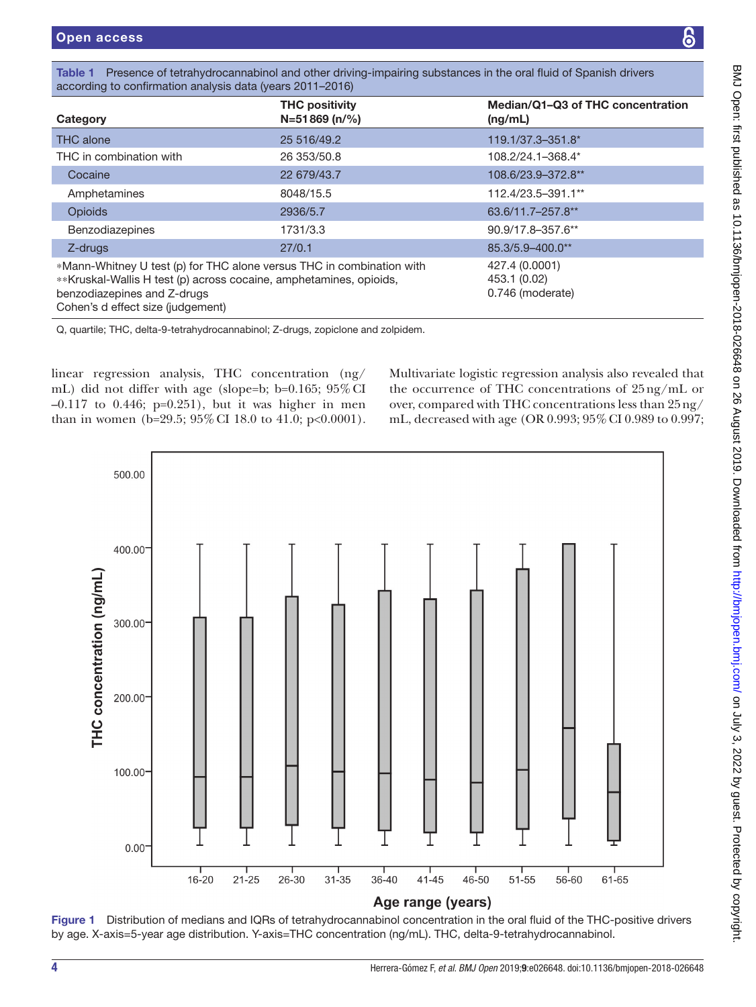<span id="page-3-0"></span>

| Category                                                                                                                                                                                                                        |  |             | <b>THC positivity</b><br>N=51869 (n/%) |  | (ng/mL)                                            | Median/Q1-Q3 of THC concentration                                                                                                                                                                                                          |
|---------------------------------------------------------------------------------------------------------------------------------------------------------------------------------------------------------------------------------|--|-------------|----------------------------------------|--|----------------------------------------------------|--------------------------------------------------------------------------------------------------------------------------------------------------------------------------------------------------------------------------------------------|
| <b>THC</b> alone                                                                                                                                                                                                                |  | 25 516/49.2 |                                        |  | 119.1/37.3-351.8*                                  |                                                                                                                                                                                                                                            |
| THC in combination with                                                                                                                                                                                                         |  | 26 353/50.8 |                                        |  | 108.2/24.1-368.4*                                  |                                                                                                                                                                                                                                            |
| Cocaine                                                                                                                                                                                                                         |  | 22 679/43.7 |                                        |  | 108.6/23.9-372.8**                                 |                                                                                                                                                                                                                                            |
| Amphetamines                                                                                                                                                                                                                    |  | 8048/15.5   |                                        |  | 112.4/23.5-391.1**                                 |                                                                                                                                                                                                                                            |
| Opioids                                                                                                                                                                                                                         |  | 2936/5.7    |                                        |  | 63.6/11.7-257.8**                                  |                                                                                                                                                                                                                                            |
| Benzodiazepines                                                                                                                                                                                                                 |  | 1731/3.3    |                                        |  | 90.9/17.8-357.6**                                  |                                                                                                                                                                                                                                            |
| Z-drugs                                                                                                                                                                                                                         |  | 27/0.1      |                                        |  | 85.3/5.9-400.0**                                   |                                                                                                                                                                                                                                            |
| *Mann-Whitney U test (p) for THC alone versus THC in combination with<br>**Kruskal-Wallis H test (p) across cocaine, amphetamines, opioids,<br>benzodiazepines and Z-drugs<br>Cohen's d effect size (judgement)                 |  |             |                                        |  | 427.4 (0.0001)<br>453.1 (0.02)<br>0.746 (moderate) |                                                                                                                                                                                                                                            |
| inear regression analysis, THC concentration (ng/<br>mL) did not differ with age (slope=b; b=0.165; 95% CI<br>$-0.117$ to 0.446; p=0.251), but it was higher in men<br>han in women (b=29.5; $95\%$ CI 18.0 to 41.0; p<0.0001). |  |             |                                        |  |                                                    | Multivariate logistic regression analysis also revealed that<br>the occurrence of THC concentrations of 25 ng/mL or<br>over, compared with THC concentrations less than 25 ng/<br>mL, decreased with age (OR 0.993; 95% CI 0.989 to 0.997; |
| 500.00                                                                                                                                                                                                                          |  |             |                                        |  |                                                    |                                                                                                                                                                                                                                            |
| 400.00<br>(mg/mL)<br>300.00-                                                                                                                                                                                                    |  |             |                                        |  |                                                    |                                                                                                                                                                                                                                            |
| THC concentration<br>200.00-                                                                                                                                                                                                    |  |             |                                        |  |                                                    |                                                                                                                                                                                                                                            |
| $100.00 -$                                                                                                                                                                                                                      |  |             |                                        |  |                                                    |                                                                                                                                                                                                                                            |
| 0.00                                                                                                                                                                                                                            |  |             |                                        |  |                                                    |                                                                                                                                                                                                                                            |

|  |  | a kara |  | a katika m | a kara |  |  |
|--|--|--------|--|------------|--------|--|--|
|  |  |        |  |            |        |  |  |
|  |  |        |  |            |        |  |  |
|  |  |        |  |            |        |  |  |

| THC alone                                                                                                                                                                                                       | 25 516/49.2 | 119.1/37.3-351.8*                                  |  |  |  |  |
|-----------------------------------------------------------------------------------------------------------------------------------------------------------------------------------------------------------------|-------------|----------------------------------------------------|--|--|--|--|
| THC in combination with                                                                                                                                                                                         | 26 353/50.8 | 108.2/24.1-368.4*                                  |  |  |  |  |
| Cocaine                                                                                                                                                                                                         | 22 679/43.7 | 108.6/23.9-372.8**                                 |  |  |  |  |
| Amphetamines                                                                                                                                                                                                    | 8048/15.5   | 112.4/23.5-391.1**                                 |  |  |  |  |
| <b>Opioids</b>                                                                                                                                                                                                  | 2936/5.7    | 63.6/11.7-257.8**                                  |  |  |  |  |
| Benzodiazepines                                                                                                                                                                                                 | 1731/3.3    | 90.9/17.8-357.6**                                  |  |  |  |  |
| Z-drugs                                                                                                                                                                                                         | 27/0.1      | 85.3/5.9-400.0**                                   |  |  |  |  |
| *Mann-Whitney U test (p) for THC alone versus THC in combination with<br>**Kruskal-Wallis H test (p) across cocaine, amphetamines, opioids,<br>benzodiazepines and Z-drugs<br>Cohen's d effect size (judgement) |             | 427.4 (0.0001)<br>453.1 (0.02)<br>0.746 (moderate) |  |  |  |  |
| O quartile: THC, delta-9-tetrahydrocannabinol: Z-drugs, zoniclone and zolnidem                                                                                                                                  |             |                                                    |  |  |  |  |



<span id="page-3-1"></span>Figure 1 Distribution of medians and IQRs of tetrahydrocannabinol concentration in the oral fluid of the THC-positive drivers by age. X-axis=5-year age distribution. Y-axis=THC concentration (ng/mL). THC, delta-9-tetrahydrocannabinol.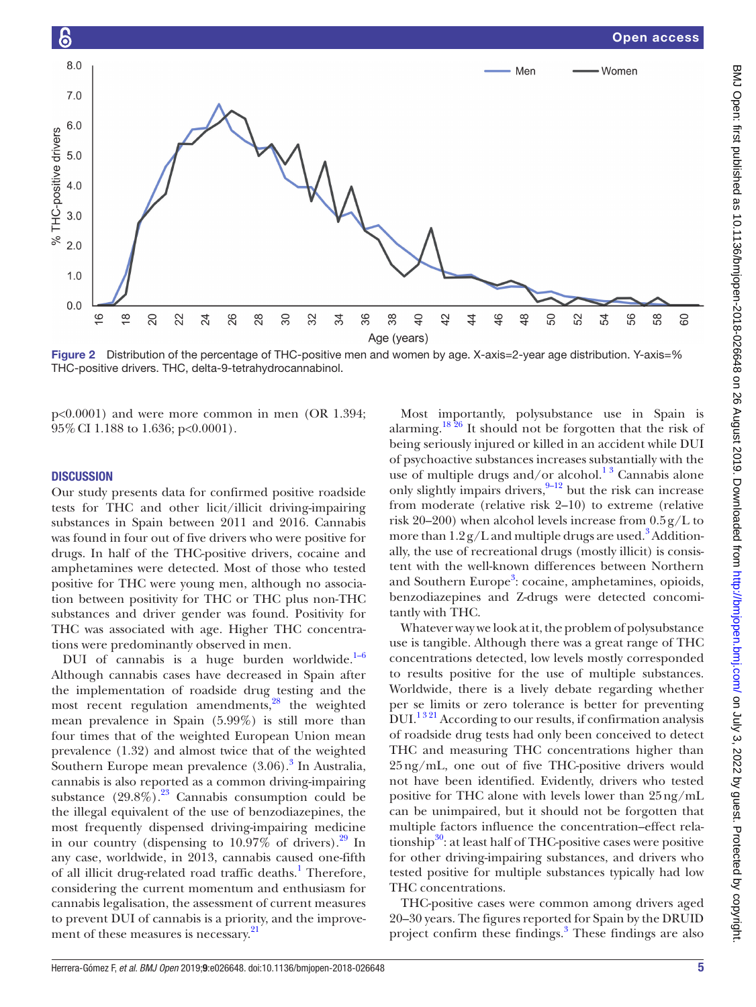

<span id="page-4-0"></span>Figure 2 Distribution of the percentage of THC-positive men and women by age. X-axis=2-year age distribution. Y-axis=% THC-positive drivers. THC, delta-9-tetrahydrocannabinol.

p<0.0001) and were more common in men (OR 1.394; 95%CI 1.188 to 1.636; p<0.0001).

#### **DISCUSSION**

Our study presents data for confirmed positive roadside tests for THC and other licit/illicit driving-impairing substances in Spain between 2011 and 2016. Cannabis was found in four out of five drivers who were positive for drugs. In half of the THC-positive drivers, cocaine and amphetamines were detected. Most of those who tested positive for THC were young men, although no association between positivity for THC or THC plus non-THC substances and driver gender was found. Positivity for THC was associated with age. Higher THC concentrations were predominantly observed in men.

DUI of cannabis is a huge burden worldwide.<sup>1-6</sup> Although cannabis cases have decreased in Spain after the implementation of roadside drug testing and the  $m_{\rm s}$  and  $m_{\rm s}$  and  $m_{\rm s}$  the weighted most recent regulation amendments, $28$  the weighted mean prevalence in Spain (5.99%) is still more than four times that of the weighted European Union mean prevalence (1.32) and almost twice that of the weighted Southern Europe mean prevalence ([3](#page-6-1).06).<sup>3</sup> In Australia, cannabis is also reported as a common driving-impairing substance  $(29.8\%)$ .<sup>23</sup> Cannabis consumption could be the illegal equivalent of the use of benzodiazepines, the most frequently dispensed driving-impairing medicine in our country (dispensing to  $10.97\%$  of drivers).<sup>29</sup> In any case, worldwide, in 2013, cannabis caused one-fifth of all illicit drug-related road traffic deaths.<sup>[1](#page-6-0)</sup> Therefore, considering the current momentum and enthusiasm for cannabis legalisation, the assessment of current measures to prevent DUI of cannabis is a priority, and the improve-ment of these measures is necessary.<sup>[21](#page-6-12)</sup>

Most importantly, polysubstance use in Spain is alarming[.18 26](#page-6-10) It should not be forgotten that the risk of being seriously injured or killed in an accident while DUI of psychoactive substances increases substantially with the use of multiple drugs and/or alcohol. $1^3$  Cannabis alone only slightly impairs drivers,  $9-12$  but the risk can increase from moderate (relative risk 2–10) to extreme (relative risk 20–200) when alcohol levels increase from 0.5g/L to more than  $1.2 g/L$  and multiple drugs are used.<sup>[3](#page-6-1)</sup> Additionally, the use of recreational drugs (mostly illicit) is consistent with the well-known differences between Northern and Southern Europe<sup>[3](#page-6-1)</sup>: cocaine, amphetamines, opioids, benzodiazepines and Z-drugs were detected concomitantly with THC.

Whatever way we look at it, the problem of polysubstance use is tangible. Although there was a great range of THC concentrations detected, low levels mostly corresponded to results positive for the use of multiple substances. Worldwide, there is a lively debate regarding whether per se limits or zero tolerance is better for preventing DUI.<sup>1321</sup> According to our results, if confirmation analysis of roadside drug tests had only been conceived to detect THC and measuring THC concentrations higher than 25ng/mL, one out of five THC-positive drivers would not have been identified. Evidently, drivers who tested positive for THC alone with levels lower than 25ng/mL can be unimpaired, but it should not be forgotten that multiple factors influence the concentration–effect relationship $30$ : at least half of THC-positive cases were positive for other driving-impairing substances, and drivers who tested positive for multiple substances typically had low THC concentrations.

THC-positive cases were common among drivers aged 20–30 years. The figures reported for Spain by the DRUID project confirm these findings.<sup>3</sup> These findings are also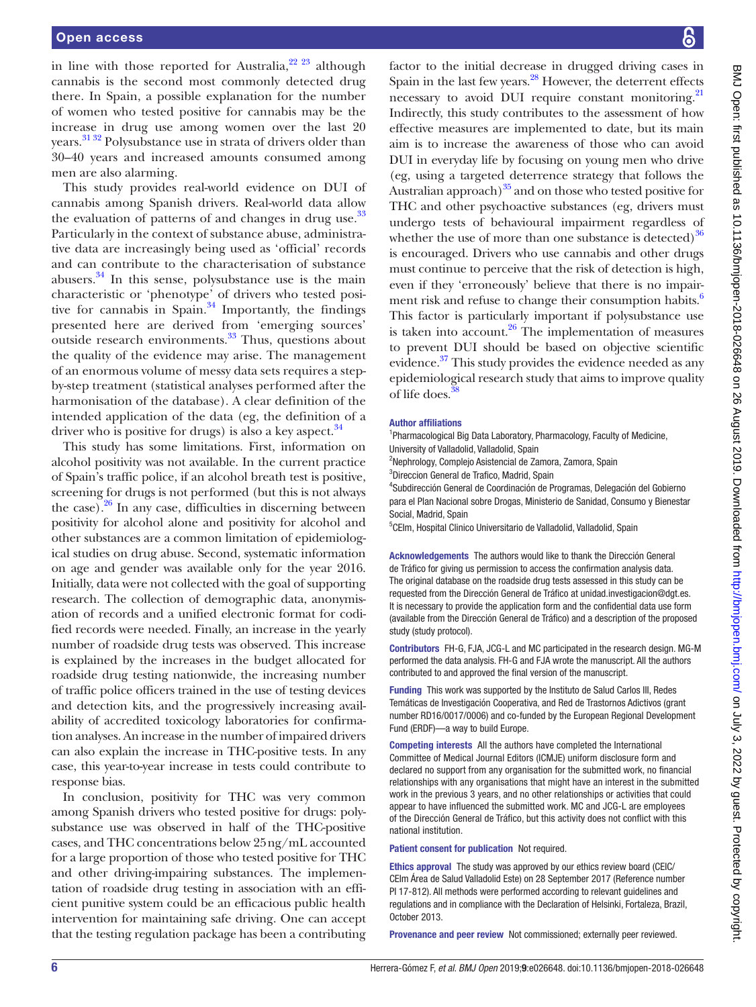in line with those reported for Australia,  $22^{22}$  although cannabis is the second most commonly detected drug there. In Spain, a possible explanation for the number of women who tested positive for cannabis may be the increase in drug use among women over the last 20 years.<sup>[31 32](#page-6-22)</sup> Polysubstance use in strata of drivers older than 30–40 years and increased amounts consumed among men are also alarming.

This study provides real-world evidence on DUI of cannabis among Spanish drivers. Real-world data allow the evaluation of patterns of and changes in drug use. $33$ Particularly in the context of substance abuse, administrative data are increasingly being used as 'official' records and can contribute to the characterisation of substance abusers. $34$  In this sense, polysubstance use is the main characteristic or 'phenotype' of drivers who tested positive for cannabis in Spain.<sup>34</sup> Importantly, the findings presented here are derived from 'emerging sources' outside research environments. $33$  Thus, questions about the quality of the evidence may arise. The management of an enormous volume of messy data sets requires a stepby-step treatment (statistical analyses performed after the harmonisation of the database). A clear definition of the intended application of the data (eg, the definition of a driver who is positive for drugs) is also a key aspect.<sup>34</sup>

This study has some limitations. First, information on alcohol positivity was not available. In the current practice of Spain's traffic police, if an alcohol breath test is positive, screening for drugs is not performed (but this is not always the case).[26](#page-6-16) In any case, difficulties in discerning between positivity for alcohol alone and positivity for alcohol and other substances are a common limitation of epidemiological studies on drug abuse. Second, systematic information on age and gender was available only for the year 2016. Initially, data were not collected with the goal of supporting research. The collection of demographic data, anonymisation of records and a unified electronic format for codified records were needed. Finally, an increase in the yearly number of roadside drug tests was observed. This increase is explained by the increases in the budget allocated for roadside drug testing nationwide, the increasing number of traffic police officers trained in the use of testing devices and detection kits, and the progressively increasing availability of accredited toxicology laboratories for confirmation analyses. An increase in the number of impaired drivers can also explain the increase in THC-positive tests. In any case, this year-to-year increase in tests could contribute to response bias.

In conclusion, positivity for THC was very common among Spanish drivers who tested positive for drugs: polysubstance use was observed in half of the THC-positive cases, and THC concentrations below 25ng/mL accounted for a large proportion of those who tested positive for THC and other driving-impairing substances. The implementation of roadside drug testing in association with an efficient punitive system could be an efficacious public health intervention for maintaining safe driving. One can accept that the testing regulation package has been a contributing

factor to the initial decrease in drugged driving cases in Spain in the last few years.<sup>[28](#page-6-18)</sup> However, the deterrent effects necessary to avoid DUI require constant monitoring.<sup>21</sup> Indirectly, this study contributes to the assessment of how effective measures are implemented to date, but its main aim is to increase the awareness of those who can avoid DUI in everyday life by focusing on young men who drive (eg, using a targeted deterrence strategy that follows the Australian approach)<sup>35</sup> and on those who tested positive for THC and other psychoactive substances (eg, drivers must undergo tests of behavioural impairment regardless of whether the use of more than one substance is detected) $36$ is encouraged. Drivers who use cannabis and other drugs must continue to perceive that the risk of detection is high, even if they 'erroneously' believe that there is no impairment risk and refuse to change their consumption habits.<sup>6</sup> This factor is particularly important if polysubstance use is taken into account. $26$  The implementation of measures to prevent DUI should be based on objective scientific evidence.<sup>[37](#page-6-28)</sup> This study provides the evidence needed as any epidemiological research study that aims to improve quality of life does.<sup>38</sup>

#### Author affiliations

<sup>1</sup>Pharmacological Big Data Laboratory, Pharmacology, Faculty of Medicine, University of Valladolid, Valladolid, Spain

<sup>2</sup>Nephrology, Complejo Asistencial de Zamora, Zamora, Spain 3 Direccion General de Trafico, Madrid, Spain 4 Subdirección General de Coordinación de Programas, Delegación del Gobierno

para el Plan Nacional sobre Drogas, Ministerio de Sanidad, Consumo y Bienestar Social, Madrid, Spain

5 CEIm, Hospital Clinico Universitario de Valladolid, Valladolid, Spain

Acknowledgements The authors would like to thank the Dirección General de Tráfico for giving us permission to access the confirmation analysis data. The original database on the roadside drug tests assessed in this study can be requested from the Dirección General de Tráfico at unidad.investigacion@dgt.es. It is necessary to provide the application form and the confidential data use form (available from the Dirección General de Tráfico) and a description of the proposed study (study protocol).

Contributors FH-G, FJA, JCG-L and MC participated in the research design. MG-M performed the data analysis. FH-G and FJA wrote the manuscript. All the authors contributed to and approved the final version of the manuscript.

Funding This work was supported by the Instituto de Salud Carlos III, Redes Temáticas de Investigación Cooperativa, and Red de Trastornos Adictivos (grant number RD16/0017/0006) and co-funded by the European Regional Development Fund (ERDF)—a way to build Europe.

Competing interests All the authors have completed the International Committee of Medical Journal Editors (ICMJE) uniform disclosure form and declared no support from any organisation for the submitted work, no financial relationships with any organisations that might have an interest in the submitted work in the previous 3 years, and no other relationships or activities that could appear to have influenced the submitted work. MC and JCG-L are employees of the Dirección General de Tráfico, but this activity does not conflict with this national institution.

Patient consent for publication Not required.

Ethics approval The study was approved by our ethics review board (CEIC/ CEIm Área de Salud Valladolid Este) on 28 September 2017 (Reference number PI 17-812). All methods were performed according to relevant guidelines and regulations and in compliance with the Declaration of Helsinki, Fortaleza, Brazil, October 2013.

Provenance and peer review Not commissioned; externally peer reviewed.